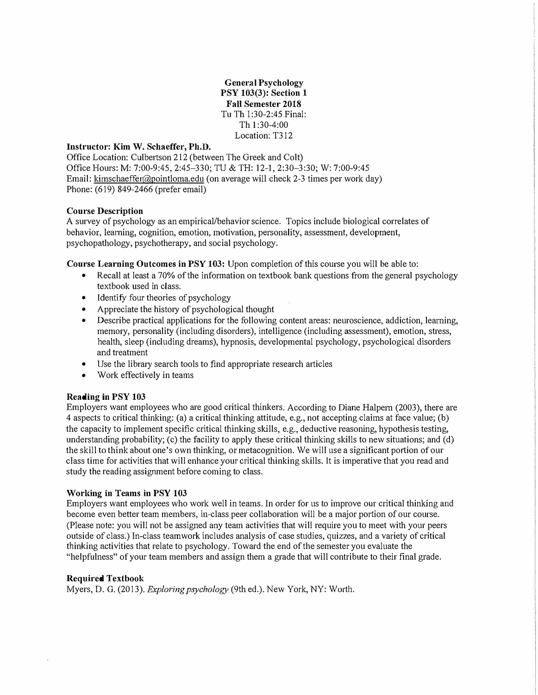**General Psychology PSY 103(3): Section 1 Fall Semester 2018** Tu **Th** I :30-2:45 Final: Th 1 :30-4:00 Location: T312

#### **Instructor: Kim W. Schaeffer, Ph.D.**

Office Location: Culbettson 212 (between The Greek and Colt) Office Hours: M: 7:00-9:45, 2:45-330; TU & TH: 12-1, 2:30-3:30; W: 7:00-9:45 Email: kimschaeffer@pointloma.edu ( on average will check 2-3 times per work day) Phone: (619) 849-2466 (prefer email)

#### **Course Description**

A survey of psychology as an empirical/behavior science. Topics include biological correlates of **behavior, learning, cognition, emotion, motivation, personality, assessment, development,**  psychopathology, psychotherapy, and social psychology.

**Course Learning Ontcomes in PSY 103:** Upon completion of this course you will be able to:

- Recall at least a 70% of the information on textbook bank questions from the general psychology textbook used in class.
- Identify four theories of psychology
- Appreciate the history of psychological thought
- Describe practical applications for the following content areas: neuroscience, addiction, learning, memory, personality (including disorders), intelligence (including assessment), emotion, stress, health, sleep (including dreams), hypnosis, developmental psychology, psychological disorders and treatment
- Use the library search tools to find appropriate research articles
- Work effectively in teams

#### **Reading in PSY 103**

Employers want employees who are good critical thinkers. According to Diane Halpern (2003), there are 4 aspects to critical thinking: (a) a critical thinking attitude, e.g., not accepting claims at face value; (b) the capacity to implement specific critical thinking skills, e.g., deductive reasoning, hypothesis testing, understanding probability; (c) the facility to apply these critical thinking skills to new situations; and (d) the skill to think about one's own thinking, or metacognition. We will use a significant portion of our class time for activities that will enhance your critical thinking skills. It is imperative that you read and study the reading assignment before coming to class.

#### **Working in Teams in PSY 103**

Employers want employees who work well in teams. In order for us to improve our critical thinking and become even better team members, in-class peer collaboration will be a major portion of our course. (Please note: you will not be assigned any team activities that will require you to meet with your peers outside of class.) In-class teamwork includes analysis of case studies, quizzes, and a variety of critical thinking activities that relate to psychology. Toward the end of the semester you evaluate the "helpfulness" of your team members and assign them a grade that will contribute to their final grade.

#### **Required Textbook**

Myers, D. G. (2013). *Exploring psychology* (9th ed.). New York, NY: W01th.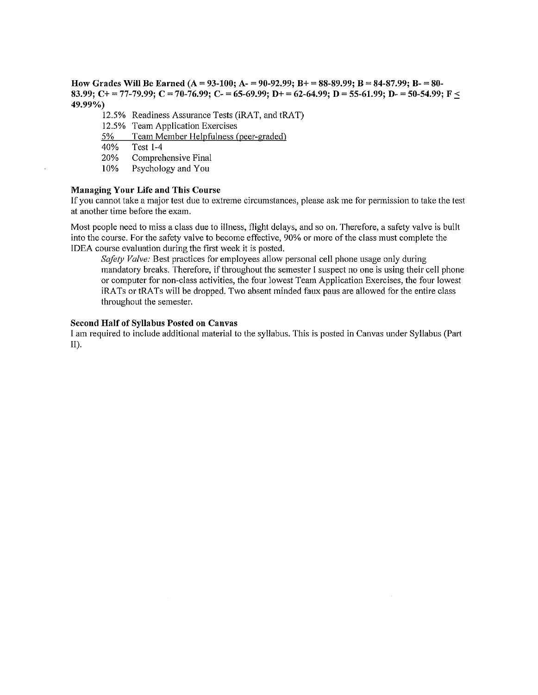How Grades Will Be Earned (A = 93-100; A - = 90-92,99; B + = 88-89,99; B = 84-87,99; B - = 80-83.99; C+ = 77-79.99; C = 70-76.99; C- = 65-69.99; D+ = 62-64.99; D = 55-61.99; D- = 50-54.99; F < 49.99%)

12.5% Readiness Assurance Tests (iRAT, and tRAT)

- 12.5% Team Application Exercises
- Team Member Helpfulness (peer-graded)  $5\%$

40% **Test 1-4** 

20% Comprehensive Final

10% Psychology and You

#### **Managing Your Life and This Course**

If you cannot take a major test due to extreme circumstances, please ask me for permission to take the test at another time before the exam.

Most people need to miss a class due to illness, flight delays, and so on. Therefore, a safety valve is built into the course. For the safety valve to become effective, 90% or more of the class must complete the IDEA course evaluation during the first week it is posted.

Safety Valve: Best practices for employees allow personal cell phone usage only during mandatory breaks. Therefore, if throughout the semester I suspect no one is using their cell phone or computer for non-class activities, the four lowest Team Application Exercises, the four lowest iRATs or tRATs will be dropped. Two absent minded faux paus are allowed for the entire class throughout the semester.

#### **Second Half of Syllabus Posted on Canvas**

I am required to include additional material to the syllabus. This is posted in Canvas under Syllabus (Part II).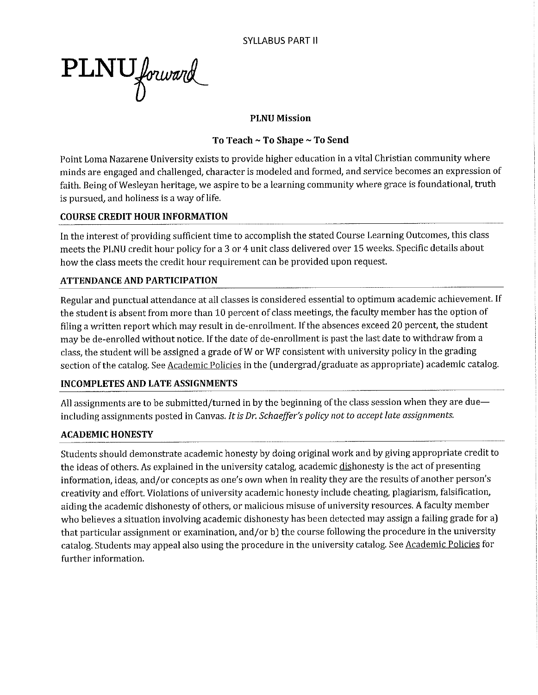PLNU forward

### **PLNU Mission**

## To Teach ~ To Shape ~ To Send

Point Loma Nazarene University exists to provide higher education in a vital Christian community where minds are engaged and challenged, character is modeled and formed, and service becomes an expression of faith. Being of Wesleyan heritage, we aspire to be a learning community where grace is foundational, truth is pursued, and holiness is a way of life.

## **COURSE CREDIT HOUR INFORMATION**

In the interest of providing sufficient time to accomplish the stated Course Learning Outcomes, this class meets the PLNU credit hour policy for a 3 or 4 unit class delivered over 15 weeks. Specific details about how the class meets the credit hour requirement can be provided upon request.

## **ATTENDANCE AND PARTICIPATION**

Regular and punctual attendance at all classes is considered essential to optimum academic achievement. If the student is absent from more than 10 percent of class meetings, the faculty member has the option of filing a written report which may result in de-enrollment. If the absences exceed 20 percent, the student may be de-enrolled without notice. If the date of de-enrollment is past the last date to withdraw from a class, the student will be assigned a grade of W or WF consistent with university policy in the grading section of the catalog. See Academic Policies in the (undergrad/graduate as appropriate) academic catalog.

#### **INCOMPLETES AND LATE ASSIGNMENTS**

All assignments are to be submitted/turned in by the beginning of the class session when they are dueincluding assignments posted in Canvas. It is Dr. Schaeffer's policy not to accept late assignments.

# **ACADEMIC HONESTY**

Students should demonstrate academic honesty by doing original work and by giving appropriate credit to the ideas of others. As explained in the university catalog, academic dishonesty is the act of presenting information, ideas, and/or concepts as one's own when in reality they are the results of another person's creativity and effort. Violations of university academic honesty include cheating, plagiarism, falsification, aiding the academic dishonesty of others, or malicious misuse of university resources. A faculty member who believes a situation involving academic dishonesty has been detected may assign a failing grade for a) that particular assignment or examination, and/or b) the course following the procedure in the university catalog. Students may appeal also using the procedure in the university catalog. See Academic Policies for further information.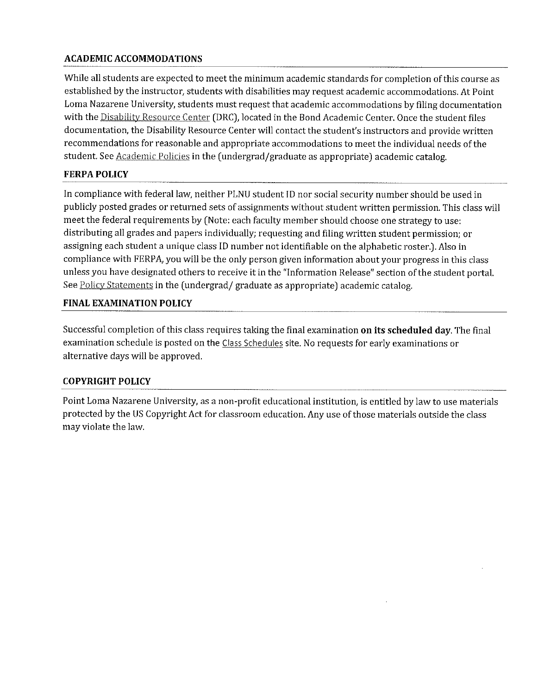# **ACADEMIC ACCOMMODATIONS**

While all students are expected to meet the minimum academic standards for completion of this course as established by the instructor, students with disabilities may request academic accommodations. At Point Loma Nazarene University, students must request that academic accommodations by filing documentation with the Disability Resource Center (DRC), located in the Bond Academic Center. Once the student files documentation, the Disability Resource Center will contact the student's instructors and provide written recommendations for reasonable and appropriate accommodations to meet the individual needs of the student. See Academic Policies in the (undergrad/graduate as appropriate) academic catalog.

## **FERPA POLICY**

In compliance with federal law, neither PLNU student ID nor social security number should be used in publicly posted grades or returned sets of assignments without student written permission. This class will meet the federal requirements by (Note: each faculty member should choose one strategy to use: distributing all grades and papers individually; requesting and filing written student permission; or assigning each student a unique class ID number not identifiable on the alphabetic roster.). Also in compliance with FERPA, you will be the only person given information about your progress in this class unless you have designated others to receive it in the "Information Release" section of the student portal. See Policy Statements in the (undergrad/ graduate as appropriate) academic catalog.

#### **FINAL EXAMINATION POLICY**

Successful completion of this class requires taking the final examination on its scheduled day. The final examination schedule is posted on the Class Schedules site. No requests for early examinations or alternative days will be approved.

#### **COPYRIGHT POLICY**

Point Loma Nazarene University, as a non-profit educational institution, is entitled by law to use materials protected by the US Copyright Act for classroom education. Any use of those materials outside the class may violate the law.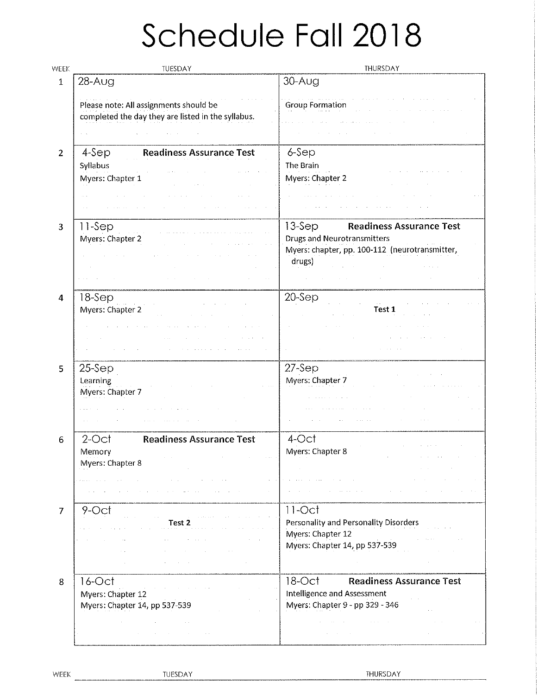# Schedule Fall 2018

| WEEK           | TUESDAY                                                                                            | THURSDAY                                                                                                                                       |
|----------------|----------------------------------------------------------------------------------------------------|------------------------------------------------------------------------------------------------------------------------------------------------|
| $\mathbf{1}$   | $28 - A$ ug                                                                                        | $30 - A$ ug                                                                                                                                    |
|                | Please note: All assignments should be<br>completed the day they are listed in the syllabus.       | <b>Group Formation</b>                                                                                                                         |
|                |                                                                                                    |                                                                                                                                                |
| 2              | <b>Readiness Assurance Test</b><br>4-Sep<br>Syllabus<br>Myers: Chapter 1                           | 6-Sep<br>The Brain<br>Myers: Chapter 2                                                                                                         |
| 3              | 11-Sep<br>Myers: Chapter 2                                                                         | $13-$ Sep<br><b>Readiness Assurance Test</b><br><b>Drugs and Neurotransmitters</b><br>Myers: chapter, pp. 100-112 (neurotransmitter,<br>drugs) |
| 4              | 18-Sep<br>Myers: Chapter 2                                                                         | 20-Sep<br>Test 1                                                                                                                               |
| 5              | $25-$ Sep<br>Learning<br>Myers: Chapter 7                                                          | $27-$ Sep<br>Myers: Chapter 7                                                                                                                  |
| 6              | <b>Readiness Assurance Test</b><br>2-Oct<br>Memory<br>Myers: Chapter 8<br>$\sim 10^{-11}$ $\alpha$ | 4-Oct<br>Mvers: Chapter 8                                                                                                                      |
| $\overline{7}$ | 9-Oct<br>Test 2                                                                                    | $11$ -Oct<br>Personality and Personality Disorders<br>Myers: Chapter 12<br>Myers: Chapter 14, pp 537-539                                       |
| 8              | $16$ -Oct<br>Myers: Chapter 12<br>Myers: Chapter 14, pp 537-539                                    | $18$ -Oct<br><b>Readiness Assurance Test</b><br>Intelligence and Assessment<br>Myers: Chapter 9 - pp 329 - 346                                 |